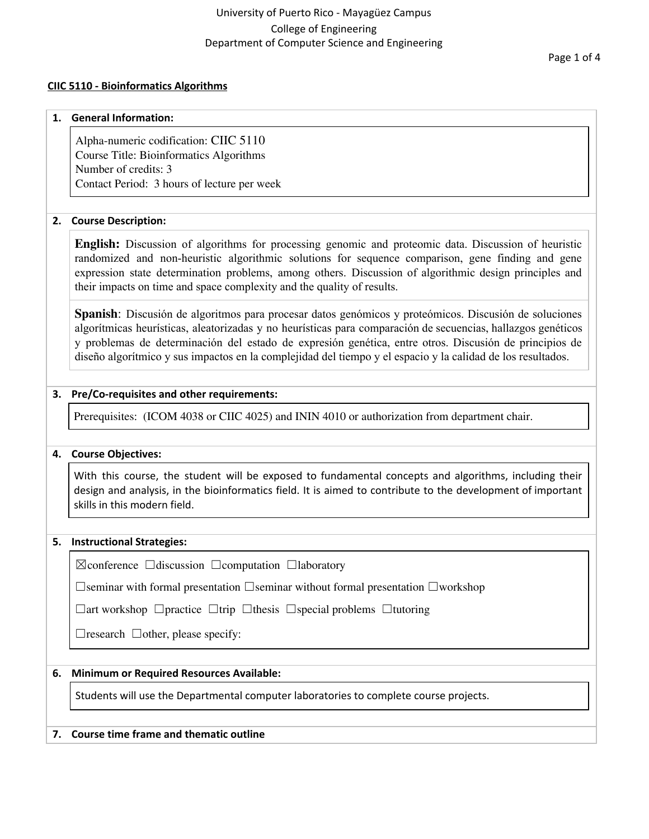# University of Puerto Rico - Mayagüez Campus College of Engineering Department of Computer Science and Engineering

Page 1 of 4

#### **CIIC 5110 - Bioinformatics Algorithms**

#### **1. General Information:**

Alpha-numeric codification: CIIC 5110 Course Title: Bioinformatics Algorithms Number of credits: 3 Contact Period: 3 hours of lecture per week

### **2. Course Description:**

**English:** Discussion of algorithms for processing genomic and proteomic data. Discussion of heuristic randomized and non-heuristic algorithmic solutions for sequence comparison, gene finding and gene expression state determination problems, among others. Discussion of algorithmic design principles and their impacts on time and space complexity and the quality of results.

**Spanish**: Discusión de algoritmos para procesar datos genómicos y proteómicos. Discusión de soluciones algorítmicas heurísticas, aleatorizadas y no heurísticas para comparación de secuencias, hallazgos genéticos y problemas de determinación del estado de expresión genética, entre otros. Discusión de principios de diseño algorítmico y sus impactos en la complejidad del tiempo y el espacio y la calidad de los resultados.

### **3. Pre/Co-requisites and other requirements:**

Prerequisites: (ICOM 4038 or CIIC 4025) and ININ 4010 or authorization from department chair.

### **4. Course Objectives:**

With this course, the student will be exposed to fundamental concepts and algorithms, including their design and analysis, in the bioinformatics field. It is aimed to contribute to the development of important skills in this modern field.

### **5. Instructional Strategies:**

☒conference ☐discussion ☐computation ☐laboratory

☐seminar with formal presentation ☐seminar without formal presentation ☐workshop

☐art workshop ☐practice ☐trip ☐thesis ☐special problems ☐tutoring

 $\Box$ research  $\Box$ other, please specify:

### **6. Minimum or Required Resources Available:**

Students will use the Departmental computer laboratories to complete course projects.

### **7. Course time frame and thematic outline**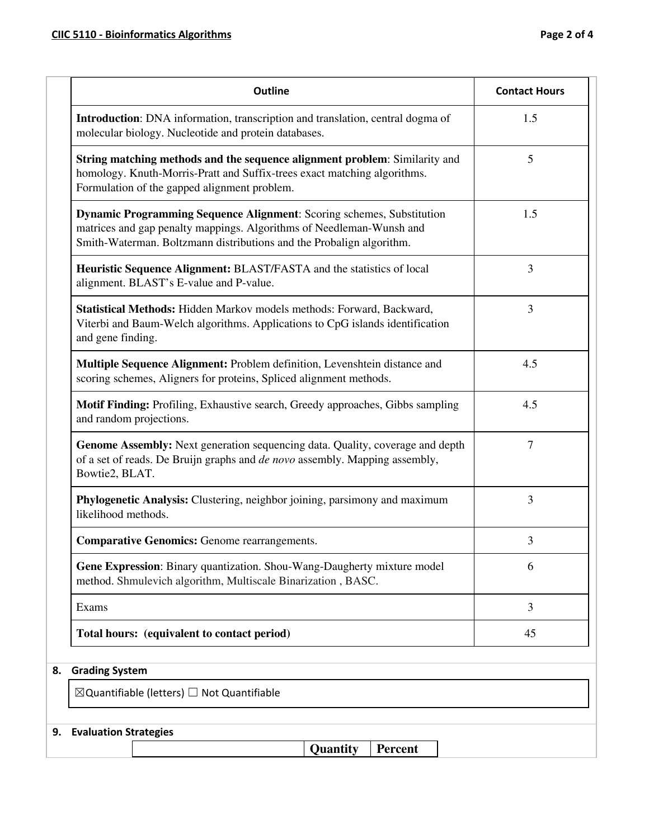| <b>Outline</b>                                                                                                                                                                                                        | <b>Contact Hours</b> |
|-----------------------------------------------------------------------------------------------------------------------------------------------------------------------------------------------------------------------|----------------------|
| Introduction: DNA information, transcription and translation, central dogma of<br>molecular biology. Nucleotide and protein databases.                                                                                | 1.5                  |
| String matching methods and the sequence alignment problem: Similarity and<br>homology. Knuth-Morris-Pratt and Suffix-trees exact matching algorithms.<br>Formulation of the gapped alignment problem.                | 5                    |
| Dynamic Programming Sequence Alignment: Scoring schemes, Substitution<br>matrices and gap penalty mappings. Algorithms of Needleman-Wunsh and<br>Smith-Waterman. Boltzmann distributions and the Probalign algorithm. | 1.5                  |
| Heuristic Sequence Alignment: BLAST/FASTA and the statistics of local<br>alignment. BLAST's E-value and P-value.                                                                                                      | 3                    |
| Statistical Methods: Hidden Markov models methods: Forward, Backward,<br>Viterbi and Baum-Welch algorithms. Applications to CpG islands identification<br>and gene finding.                                           | 3                    |
| Multiple Sequence Alignment: Problem definition, Levenshtein distance and<br>scoring schemes, Aligners for proteins, Spliced alignment methods.                                                                       | 4.5                  |
| Motif Finding: Profiling, Exhaustive search, Greedy approaches, Gibbs sampling<br>and random projections.                                                                                                             | 4.5                  |
| Genome Assembly: Next generation sequencing data. Quality, coverage and depth<br>of a set of reads. De Bruijn graphs and de novo assembly. Mapping assembly,<br>Bowtie2, BLAT.                                        | 7                    |
| Phylogenetic Analysis: Clustering, neighbor joining, parsimony and maximum<br>likelihood methods.                                                                                                                     | 3                    |
| <b>Comparative Genomics: Genome rearrangements.</b>                                                                                                                                                                   | 3                    |
| Gene Expression: Binary quantization. Shou-Wang-Daugherty mixture model<br>method. Shmulevich algorithm, Multiscale Binarization, BASC.                                                                               | 6                    |
| Exams                                                                                                                                                                                                                 | 3                    |
| Total hours: (equivalent to contact period)                                                                                                                                                                           | 45                   |
| <b>Grading System</b>                                                                                                                                                                                                 |                      |
| $\boxtimes$ Quantifiable (letters) $\Box$ Not Quantifiable                                                                                                                                                            |                      |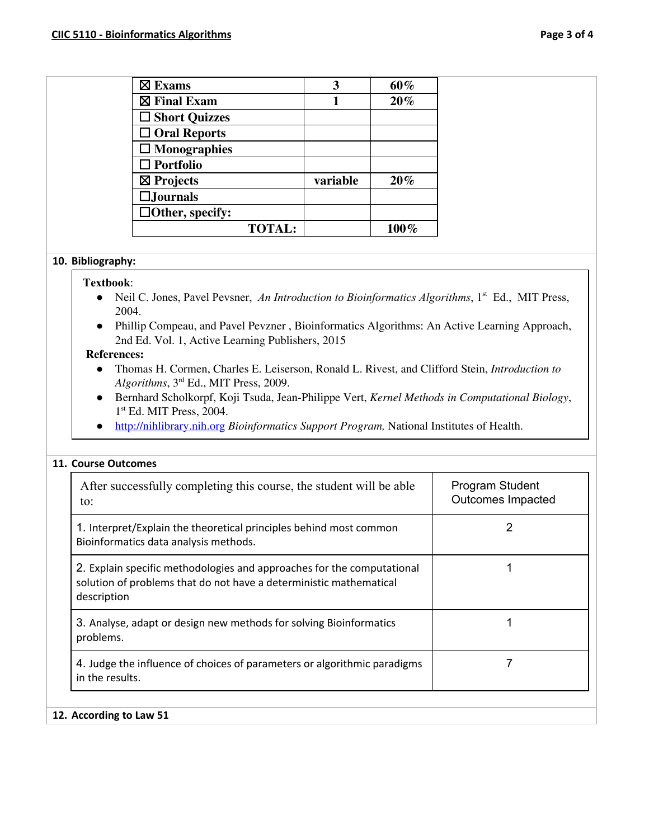| $\boxtimes$ Exams      |               | 3        | 60%  |
|------------------------|---------------|----------|------|
| $\boxtimes$ Final Exam |               |          | 20%  |
| $\Box$ Short Quizzes   |               |          |      |
| $\Box$ Oral Reports    |               |          |      |
| $\Box$ Monographies    |               |          |      |
| $\Box$ Portfolio       |               |          |      |
| $\boxtimes$ Projects   |               | variable | 20%  |
| $\square$ Journals     |               |          |      |
| $\Box$ Other, specify: |               |          |      |
|                        | <b>TOTAL:</b> |          | 100% |

### **10. Bibliography:**

#### **Textbook**:

- Neil C. Jones, Pavel Pevsner, *An Introduction to Bioinformatics Algorithms*, 1<sup>st</sup> Ed., MIT Press, 2004.
- Phillip Compeau, and Pavel Pevzner , Bioinformatics Algorithms: An Active Learning Approach, 2nd Ed. Vol. 1, Active Learning Publishers, 2015

#### **References:**

- Thomas H. Cormen, Charles E. Leiserson, Ronald L. Rivest, and Clifford Stein, *Introduction to Algorithms*, 3 rd Ed., MIT Press, 2009.
- Bernhard Scholkorpf, Koji Tsuda, Jean-Philippe Vert, *Kernel Methods in Computational Biology*, 1 st Ed. MIT Press, 2004.
- [http://nihlibrary.nih.org](http://nihlibrary.nih.org/) *Bioinformatics Support Program,* National Institutes of Health.

# **11. Course Outcomes**

| After successfully completing this course, the student will be able<br>to:                                                                                  | Program Student<br><b>Outcomes Impacted</b> |
|-------------------------------------------------------------------------------------------------------------------------------------------------------------|---------------------------------------------|
| 1. Interpret/Explain the theoretical principles behind most common<br>Bioinformatics data analysis methods.                                                 |                                             |
| 2. Explain specific methodologies and approaches for the computational<br>solution of problems that do not have a deterministic mathematical<br>description |                                             |
| 3. Analyse, adapt or design new methods for solving Bioinformatics<br>problems.                                                                             |                                             |
| 4. Judge the influence of choices of parameters or algorithmic paradigms<br>in the results.                                                                 |                                             |